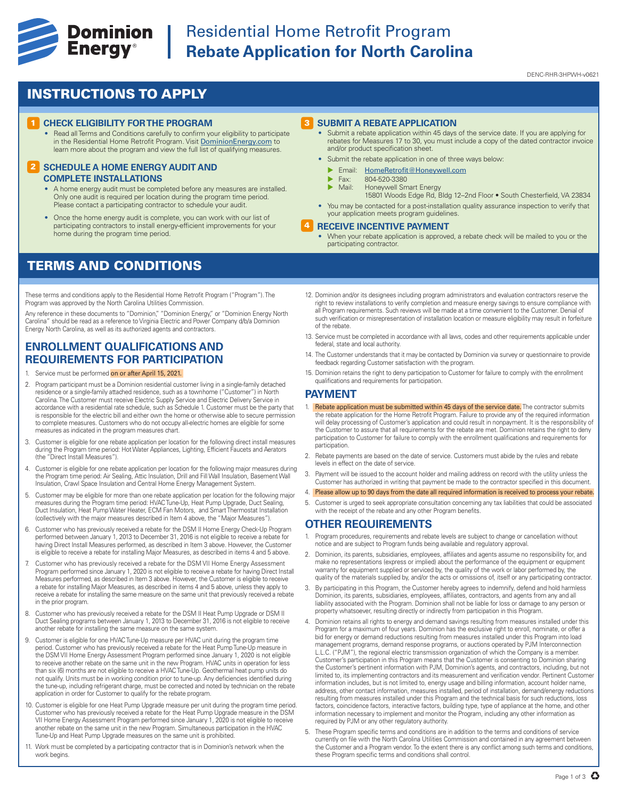

# **Experience Cominion** Residential Home Retrofit Program<br> **Energy**<sup>®</sup> Rebate Application for North Caroli **Rebate Application for North Carolina**

DENC-RHR-3HPWH-v0621

## INSTRUCTIONS TO APPLY

#### **1 CHECK ELIGIBILITY FOR THE PROGRAM**

• Read all Terms and Conditions carefully to confirm your eligibility to participate in the Residential Home Retrofit Program. Visit DominionEnergy.com to learn more about the program and view the full list of qualifying measures.

#### **2 SCHEDULE A HOME ENERGY AUDIT AND COMPLETE INSTALLATIONS**

- A home energy audit must be completed before any measures are installed. Only one audit is required per location during the program time period. Please contact a participating contractor to schedule your audit
- Once the home energy audit is complete, you can work with our list of participating contractors to install energy-efficient improvements for your home during the program time period.

## TERMS AND CONDITIONS

These terms and conditions apply to the Residential Home Retrofit Program ("Program"). The Program was approved by the North Carolina Utilities Commission.

Any reference in these documents to "Dominion," "Dominion Energy," or "Dominion Energy North Carolina" should be read as a reference to Virginia Electric and Power Company d/b/a Dominion Energy North Carolina, as well as its authorized agents and contractors.

### **ENROLLMENT QUALIFICATIONS AND REQUIREMENTS FOR PARTICIPATION**

- 1. Service must be performed on or after April 15, 2021.
- 2. Program participant must be a Dominion residential customer living in a single-family detached residence or a single-family attached residence, such as a townhome ("Customer") in North Carolina. The Customer must receive Electric Supply Service and Electric Delivery Service in accordance with a residential rate schedule, such as Schedule 1. Customer must be the party that is responsible for the electric bill and either own the home or otherwise able to secure permission to complete measures. Customers who do not occupy all-electric homes are eligible for some measures as indicated in the program measures chart.
- 3. Customer is eligible for one rebate application per location for the following direct install measures during the Program time period: Hot Water Appliances, Lighting, Efficient Faucets and Aerators (the "Direct Install Measures").
- 4. Customer is eligible for one rebate application per location for the following major measures during the Program time period: Air Sealing, Attic Insulation, Drill and Fill Wall Insulation, Basement Wall Insulation, Crawl Space Insulation and Central Home Energy Management System.
- 5. Customer may be eligible for more than one rebate application per location for the following major measures during the Program time period: HVAC Tune-Up, Heat Pump Upgrade, Duct Sealing, Duct Insulation, Heat Pump Water Heater, ECM Fan Motors, and Smart Thermostat Installation (collectively with the major measures described in Item 4 above, the "Major Measures").
- 6. Customer who has previously received a rebate for the DSM II Home Energy Check-Up Program performed between January 1, 2013 to December 31, 2016 is not eligible to receive a rebate for having Direct Install Measures performed, as described in Item 3 above. However, the Customer is eligible to receive a rebate for installing Major Measures, as described in items 4 and 5 above.
- 7. Customer who has previously received a rebate for the DSM VII Home Energy Assessment Program performed since January 1, 2020 is not eligible to receive a rebate for having Direct Install Measures performed, as described in Item 3 above. However, the Customer is eligible to receive a rebate for installing Major Measures, as described in items 4 and 5 above, unless they apply to receive a rebate for installing the same measure on the same unit that previously received a rebate in the prior program.
- 8. Customer who has previously received a rebate for the DSM II Heat Pump Upgrade or DSM II Duct Sealing programs between January 1, 2013 to December 31, 2016 is not eligible to receive another rebate for installing the same measure on the same system.
- 9. Customer is eligible for one HVAC Tune-Up measure per HVAC unit during the program time period. Customer who has previously received a rebate for the Heat Pump Tune-Up measure in the DSM VII Home Energy Assessment Program performed since January 1, 2020 is not eligible to receive another rebate on the same unit in the new Program. HVAC units in operation for less than six (6) months are not eligible to receive a HVAC Tune-Up. Geothermal heat pump units do not qualify. Units must be in working condition prior to tune-up. Any deficiencies identified during the tune-up, including refrigerant charge, must be corrected and noted by technician on the rebate application in order for Customer to qualify for the rebate program.
- 10. Customer is eligible for one Heat Pump Upgrade measure per unit during the program time period. Customer who has previously received a rebate for the Heat Pump Upgrade measure in the DSM VII Home Energy Assessment Program performed since January 1, 2020 is not eligible to receive another rebate on the same unit in the new Program. Simultaneous participation in the HVAC Tune-Up and Heat Pump Upgrade measures on the same unit is prohibited.
- 11. Work must be completed by a participating contractor that is in Dominion's network when the work begins.

#### 3 **SUBMIT A REBATE APPLICATION**

- Submit a rebate application within 45 days of the service date. If you are applying for rebates for Measures 17 to 30, you must include a copy of the dated contractor invoice and/or product specification sheet.
- Submit the rebate application in one of three ways below:
	- **Email:** HomeRetrofit@Honeywell.com
	- $\triangleright$  Fax: 804-520-3380<br> $\triangleright$  Mail: Honeywell Sm
	- Honeywell Smart Energy
	- 15801 Woods Edge Rd, Bldg 12–2nd Floor South Chesterfield, VA 23834
- You may be contacted for a post-installation quality assurance inspection to verify that your application meets program guidelines.

#### 4 **RECEIVE INCENTIVE PAYMENT**

- When your rebate application is approved, a rebate check will be mailed to you or the participating contractor.
- 12. Dominion and/or its designees including program administrators and evaluation contractors reserve the right to review installations to verify completion and measure energy savings to ensure compliance with all Program requirements. Such reviews will be made at a time convenient to the Customer. Denial of such verification or misrepresentation of installation location or measure eligibility may result in forfeiture of the rebate.
- 13. Service must be completed in accordance with all laws, codes and other requirements applicable under federal, state and local authority
- 14. The Customer understands that it may be contacted by Dominion via survey or questionnaire to provide feedback regarding Customer satisfaction with the program.
- 15. Dominion retains the right to deny participation to Customer for failure to comply with the enrollment qualifications and requirements for participation.

#### **PAYMENT**

- 1. Rebate application must be submitted within 45 days of the service date. The contractor submits the rebate application for the Home Retrofit Program. Failure to provide any of the required information will delay processing of Customer's application and could result in nonpayment. It is the responsibility of the Customer to assure that all requirements for the rebate are met. Dominion retains the right to deny participation to Customer for failure to comply with the enrollment qualifications and requirements for participation.
- 2. Rebate payments are based on the date of service. Customers must abide by the rules and rebate levels in effect on the date of service.
- 3. Payment will be issued to the account holder and mailing address on record with the utility unless the Customer has authorized in writing that payment be made to the contractor specified in this document.
- 4. Please allow up to 90 days from the date all required information is received to process your rebate.
- 5. Customer is urged to seek appropriate consultation concerning any tax liabilities that could be associated with the receipt of the rebate and any other Program benefits

### **OTHER REQUIREMENTS**

- 1. Program procedures, requirements and rebate levels are subject to change or cancellation without notice and are subject to Program funds being available and regulatory approval.
- 2. Dominion, its parents, subsidiaries, employees, affiliates and agents assume no responsibility for, and make no representations (express or implied) about the performance of the equipment or equipment warranty for equipment supplied or serviced by, the quality of the work or labor performed by, the quality of the materials supplied by, and/or the acts or omissions of, itself or any participating contractor.
- 3. By participating in this Program, the Customer hereby agrees to indemnify, defend and hold harmless Dominion, its parents, subsidiaries, employees, affiliates, contractors, and agents from any and all liability associated with the Program. Dominion shall not be liable for loss or damage to any person or property whatsoever, resulting directly or indirectly from participation in this Program.
- 4. Dominion retains all rights to energy and demand savings resulting from measures installed under this Program for a maximum of four years. Dominion has the exclusive right to enroll, nominate, or offer a bid for energy or demand reductions resulting from measures installed under this Program into load management programs, demand response programs, or auctions operated by PJM Interconnection L.L.C. ("PJM"), the regional electric transmission organization of which the Company is a member. Customer's participation in this Program means that the Customer is consenting to Dominion sharing the Customer's pertinent information with PJM, Dominion's agents, and contractors, including, but not limited to, its implementing contractors and its measurement and verification vendor. Pertinent Customer information includes, but is not limited to, energy usage and billing information, account holder name, address, other contact information, measures installed, period of installation, demand/energy reductions resulting from measures installed under this Program and the technical basis for such reductions, loss factors, coincidence factors, interactive factors, building type, type of appliance at the home, and other information necessary to implement and monitor the Program, including any other information as required by PJM or any other regulatory authority.
- 5. These Program specific terms and conditions are in addition to the terms and conditions of service currently on file with the North Carolina Utilities Commission and contained in any agreement between the Customer and a Program vendor. To the extent there is any conflict among such terms and conditions, these Program specific terms and conditions shall control.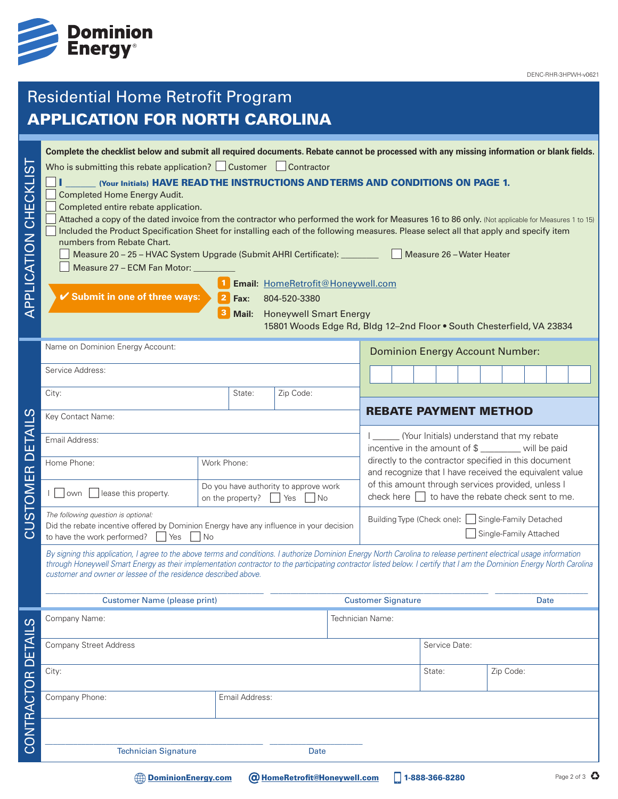

# Residential Home Retrofit Program APPLICATION FOR NORTH CAROLINA

| .<br>(<br>APPLICATION CHECKLI                                                                                                                                                                                                                                                                                                                                                                                    | Complete the checklist below and submit all required documents. Rebate cannot be processed with any missing information or blank fields.<br>Who is submitting this rebate application? Customer Contractor<br>(Your Initials) HAVE READ THE INSTRUCTIONS AND TERMS AND CONDITIONS ON PAGE 1.<br>Completed Home Energy Audit.<br>Completed entire rebate application.<br>Attached a copy of the dated invoice from the contractor who performed the work for Measures 16 to 86 only. (Not applicable for Measures 1 to 15)<br>Included the Product Specification Sheet for installing each of the following measures. Please select all that apply and specify item<br>numbers from Rebate Chart.<br>Measure 20 - 25 - HVAC System Upgrade (Submit AHRI Certificate): ________________<br>Measure 27 - ECM Fan Motor: _<br>✔ Submit in one of three ways: | $\overline{2}$<br>Fax:<br>Mail:                                                                                                                                                                  | Email: HomeRetrofit@Honeywell.com<br>804-520-3380<br><b>Honeywell Smart Energy</b><br>15801 Woods Edge Rd, Bldg 12-2nd Floor . South Chesterfield, VA 23834 |                  |                                                                                                                                                                                                                                  |                                                                                                 |                |               |  | Measure 26 - Water Heater |           |  |                       |  |
|------------------------------------------------------------------------------------------------------------------------------------------------------------------------------------------------------------------------------------------------------------------------------------------------------------------------------------------------------------------------------------------------------------------|----------------------------------------------------------------------------------------------------------------------------------------------------------------------------------------------------------------------------------------------------------------------------------------------------------------------------------------------------------------------------------------------------------------------------------------------------------------------------------------------------------------------------------------------------------------------------------------------------------------------------------------------------------------------------------------------------------------------------------------------------------------------------------------------------------------------------------------------------------|--------------------------------------------------------------------------------------------------------------------------------------------------------------------------------------------------|-------------------------------------------------------------------------------------------------------------------------------------------------------------|------------------|----------------------------------------------------------------------------------------------------------------------------------------------------------------------------------------------------------------------------------|-------------------------------------------------------------------------------------------------|----------------|---------------|--|---------------------------|-----------|--|-----------------------|--|
|                                                                                                                                                                                                                                                                                                                                                                                                                  | Name on Dominion Energy Account:                                                                                                                                                                                                                                                                                                                                                                                                                                                                                                                                                                                                                                                                                                                                                                                                                         |                                                                                                                                                                                                  |                                                                                                                                                             |                  | <b>Dominion Energy Account Number:</b>                                                                                                                                                                                           |                                                                                                 |                |               |  |                           |           |  |                       |  |
|                                                                                                                                                                                                                                                                                                                                                                                                                  | Service Address:                                                                                                                                                                                                                                                                                                                                                                                                                                                                                                                                                                                                                                                                                                                                                                                                                                         |                                                                                                                                                                                                  |                                                                                                                                                             |                  |                                                                                                                                                                                                                                  |                                                                                                 |                |               |  |                           |           |  |                       |  |
|                                                                                                                                                                                                                                                                                                                                                                                                                  | City:                                                                                                                                                                                                                                                                                                                                                                                                                                                                                                                                                                                                                                                                                                                                                                                                                                                    | State:                                                                                                                                                                                           | Zip Code:                                                                                                                                                   |                  |                                                                                                                                                                                                                                  |                                                                                                 |                |               |  |                           |           |  |                       |  |
| ഗ                                                                                                                                                                                                                                                                                                                                                                                                                | Key Contact Name:                                                                                                                                                                                                                                                                                                                                                                                                                                                                                                                                                                                                                                                                                                                                                                                                                                        |                                                                                                                                                                                                  |                                                                                                                                                             |                  | <b>REBATE PAYMENT METHOD</b>                                                                                                                                                                                                     |                                                                                                 |                |               |  |                           |           |  |                       |  |
| ш                                                                                                                                                                                                                                                                                                                                                                                                                | Email Address:                                                                                                                                                                                                                                                                                                                                                                                                                                                                                                                                                                                                                                                                                                                                                                                                                                           |                                                                                                                                                                                                  |                                                                                                                                                             |                  |                                                                                                                                                                                                                                  | (Your Initials) understand that my rebate<br>incentive in the amount of \$ _______ will be paid |                |               |  |                           |           |  |                       |  |
| $\overline{\cap}$                                                                                                                                                                                                                                                                                                                                                                                                | Home Phone:                                                                                                                                                                                                                                                                                                                                                                                                                                                                                                                                                                                                                                                                                                                                                                                                                                              | Work Phone:<br>Do you have authority to approve work<br>on the property?<br>  Yes<br>$\vert$ No<br>Did the rebate incentive offered by Dominion Energy have any influence in your decision<br>No |                                                                                                                                                             |                  | directly to the contractor specified in this document<br>and recognize that I have received the equivalent value<br>of this amount through services provided, unless I<br>check here $\Box$ to have the rebate check sent to me. |                                                                                                 |                |               |  |                           |           |  |                       |  |
| STOMER                                                                                                                                                                                                                                                                                                                                                                                                           | lease this property.<br>l   lown                                                                                                                                                                                                                                                                                                                                                                                                                                                                                                                                                                                                                                                                                                                                                                                                                         |                                                                                                                                                                                                  |                                                                                                                                                             |                  |                                                                                                                                                                                                                                  |                                                                                                 |                |               |  |                           |           |  |                       |  |
| -<br>O                                                                                                                                                                                                                                                                                                                                                                                                           | The following question is optional:<br>to have the work performed?<br>Yes                                                                                                                                                                                                                                                                                                                                                                                                                                                                                                                                                                                                                                                                                                                                                                                |                                                                                                                                                                                                  |                                                                                                                                                             |                  | Building Type (Check one): Single-Family Detached<br>Single-Family Attached                                                                                                                                                      |                                                                                                 |                |               |  |                           |           |  |                       |  |
| By signing this application, I agree to the above terms and conditions. I authorize Dominion Energy North Carolina to release pertinent electrical usage information<br>through Honeywell Smart Energy as their implementation contractor to the participating contractor listed below. I certify that I am the Dominion Energy North Carolina<br>customer and owner or lessee of the residence described above. |                                                                                                                                                                                                                                                                                                                                                                                                                                                                                                                                                                                                                                                                                                                                                                                                                                                          |                                                                                                                                                                                                  |                                                                                                                                                             |                  |                                                                                                                                                                                                                                  |                                                                                                 |                |               |  |                           |           |  |                       |  |
|                                                                                                                                                                                                                                                                                                                                                                                                                  | <b>Customer Name (please print)</b>                                                                                                                                                                                                                                                                                                                                                                                                                                                                                                                                                                                                                                                                                                                                                                                                                      |                                                                                                                                                                                                  |                                                                                                                                                             |                  | <b>Customer Signature</b>                                                                                                                                                                                                        |                                                                                                 |                |               |  | Date                      |           |  |                       |  |
|                                                                                                                                                                                                                                                                                                                                                                                                                  | Company Name:                                                                                                                                                                                                                                                                                                                                                                                                                                                                                                                                                                                                                                                                                                                                                                                                                                            |                                                                                                                                                                                                  |                                                                                                                                                             | Technician Name: |                                                                                                                                                                                                                                  |                                                                                                 |                |               |  |                           |           |  |                       |  |
|                                                                                                                                                                                                                                                                                                                                                                                                                  | <b>Company Street Address</b>                                                                                                                                                                                                                                                                                                                                                                                                                                                                                                                                                                                                                                                                                                                                                                                                                            |                                                                                                                                                                                                  |                                                                                                                                                             |                  |                                                                                                                                                                                                                                  |                                                                                                 |                | Service Date: |  |                           |           |  |                       |  |
|                                                                                                                                                                                                                                                                                                                                                                                                                  | City:                                                                                                                                                                                                                                                                                                                                                                                                                                                                                                                                                                                                                                                                                                                                                                                                                                                    |                                                                                                                                                                                                  |                                                                                                                                                             |                  |                                                                                                                                                                                                                                  |                                                                                                 | State:         |               |  |                           | Zip Code: |  |                       |  |
| CONTRACTOR DETAILS                                                                                                                                                                                                                                                                                                                                                                                               | Company Phone:                                                                                                                                                                                                                                                                                                                                                                                                                                                                                                                                                                                                                                                                                                                                                                                                                                           | Email Address:                                                                                                                                                                                   |                                                                                                                                                             |                  |                                                                                                                                                                                                                                  |                                                                                                 |                |               |  |                           |           |  |                       |  |
|                                                                                                                                                                                                                                                                                                                                                                                                                  |                                                                                                                                                                                                                                                                                                                                                                                                                                                                                                                                                                                                                                                                                                                                                                                                                                                          |                                                                                                                                                                                                  |                                                                                                                                                             |                  |                                                                                                                                                                                                                                  |                                                                                                 |                |               |  |                           |           |  |                       |  |
|                                                                                                                                                                                                                                                                                                                                                                                                                  | <b>Technician Signature</b>                                                                                                                                                                                                                                                                                                                                                                                                                                                                                                                                                                                                                                                                                                                                                                                                                              |                                                                                                                                                                                                  | Date                                                                                                                                                        |                  |                                                                                                                                                                                                                                  |                                                                                                 |                |               |  |                           |           |  |                       |  |
|                                                                                                                                                                                                                                                                                                                                                                                                                  | <b>EXAMPLE Dominion Energy.com</b>                                                                                                                                                                                                                                                                                                                                                                                                                                                                                                                                                                                                                                                                                                                                                                                                                       |                                                                                                                                                                                                  | <b>@ HomeRetrofit@Honeywell.com</b>                                                                                                                         |                  |                                                                                                                                                                                                                                  |                                                                                                 | 1-888-366-8280 |               |  |                           |           |  | Page 2 of 3 $\bullet$ |  |